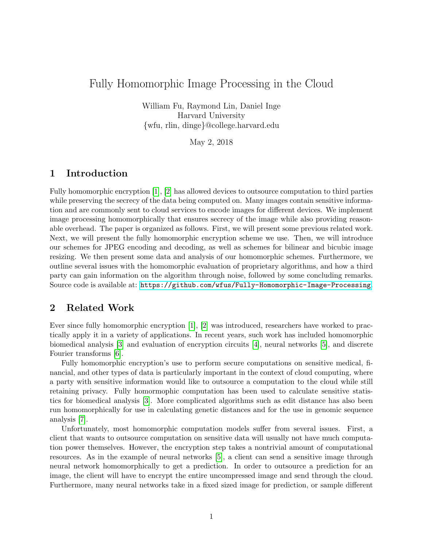# Fully Homomorphic Image Processing in the Cloud

William Fu, Raymond Lin, Daniel Inge Harvard University {wfu, rlin, dinge}@college.harvard.edu

May 2, 2018

## 1 Introduction

Fully homomorphic encryption [\[1\]](#page-11-0), [\[2\]](#page-11-1) has allowed devices to outsource computation to third parties while preserving the secrecy of the data being computed on. Many images contain sensitive information and are commonly sent to cloud services to encode images for different devices. We implement image processing homomorphically that ensures secrecy of the image while also providing reasonable overhead. The paper is organized as follows. First, we will present some previous related work. Next, we will present the fully homomorphic encryption scheme we use. Then, we will introduce our schemes for JPEG encoding and decoding, as well as schemes for bilinear and bicubic image resizing. We then present some data and analysis of our homomorphic schemes. Furthermore, we outline several issues with the homomorphic evaluation of proprietary algorithms, and how a third party can gain information on the algorithm through noise, followed by some concluding remarks. Source code is available at: <https://github.com/wfus/Fully-Homomorphic-Image-Processing>.

## 2 Related Work

Ever since fully homomorphic encryption [\[1\]](#page-11-0), [\[2\]](#page-11-1) was introduced, researchers have worked to practically apply it in a variety of applications. In recent years, such work has included homomorphic biomedical analysis [\[3\]](#page-11-2) and evaluation of encryption circuits [\[4\]](#page-11-3), neural networks [\[5\]](#page-11-4), and discrete Fourier transforms [\[6\]](#page-11-5).

Fully homomorphic encryption's use to perform secure computations on sensitive medical, financial, and other types of data is particularly important in the context of cloud computing, where a party with sensitive information would like to outsource a computation to the cloud while still retaining privacy. Fully homormophic computation has been used to calculate sensitive statistics for biomedical analysis [\[3\]](#page-11-2). More complicated algorithms such as edit distance has also been run homomorphically for use in calculating genetic distances and for the use in genomic sequence analysis [\[7\]](#page-11-6).

Unfortunately, most homomorphic computation models suffer from several issues. First, a client that wants to outsource computation on sensitive data will usually not have much computation power themselves. However, the encryption step takes a nontrivial amount of computational resources. As in the example of neural networks [\[5\]](#page-11-4), a client can send a sensitive image through neural network homomorphically to get a prediction. In order to outsource a prediction for an image, the client will have to encrypt the entire uncompressed image and send through the cloud. Furthermore, many neural networks take in a fixed sized image for prediction, or sample different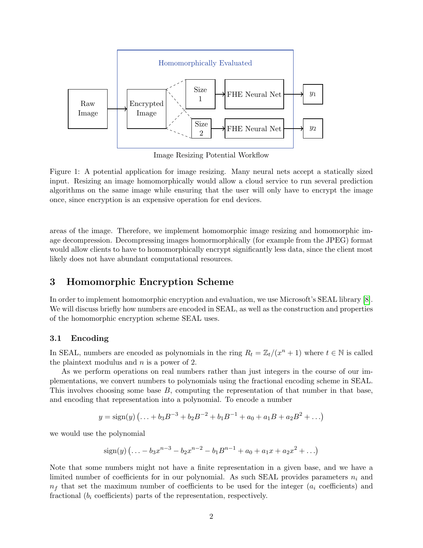

Image Resizing Potential Workflow

Figure 1: A potential application for image resizing. Many neural nets accept a statically sized input. Resizing an image homomorphically would allow a cloud service to run several prediction algorithms on the same image while ensuring that the user will only have to encrypt the image once, since encryption is an expensive operation for end devices.

areas of the image. Therefore, we implement homomorphic image resizing and homomorphic image decompression. Decompressing images homormorphically (for example from the JPEG) format would allow clients to have to homomorphically encrypt significantly less data, since the client most likely does not have abundant computational resources.

## 3 Homomorphic Encryption Scheme

In order to implement homomorphic encryption and evaluation, we use Microsoft's SEAL library [\[8\]](#page-11-7). We will discuss briefly how numbers are encoded in SEAL, as well as the construction and properties of the homomorphic encryption scheme SEAL uses.

## 3.1 Encoding

In SEAL, numbers are encoded as polynomials in the ring  $R_t = \mathbb{Z}_t/(x^n + 1)$  where  $t \in \mathbb{N}$  is called the plaintext modulus and  $n$  is a power of 2.

As we perform operations on real numbers rather than just integers in the course of our implementations, we convert numbers to polynomials using the fractional encoding scheme in SEAL. This involves choosing some base  $B$ , computing the representation of that number in that base, and encoding that representation into a polynomial. To encode a number

$$
y = sign(y) (... + b_3 B^{-3} + b_2 B^{-2} + b_1 B^{-1} + a_0 + a_1 B + a_2 B^2 + ...)
$$

we would use the polynomial

$$
\text{sign}(y) \left( \ldots - b_3 x^{n-3} - b_2 x^{n-2} - b_1 B^{n-1} + a_0 + a_1 x + a_2 x^2 + \ldots \right)
$$

Note that some numbers might not have a finite representation in a given base, and we have a limited number of coefficients for in our polynomial. As such SEAL provides parameters  $n_i$  and  $n_f$  that set the maximum number of coefficients to be used for the integer  $(a_i \text{ coefficients})$  and fractional  $(b_i \text{ coefficients})$  parts of the representation, respectively.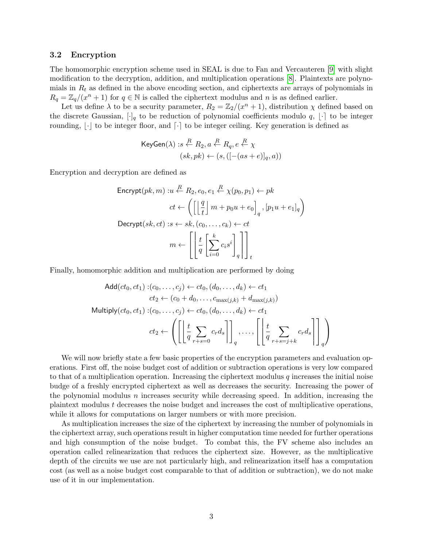### 3.2 Encryption

The homomorphic encryption scheme used in SEAL is due to Fan and Vercauteren [\[9\]](#page-11-8) with slight modification to the decryption, addition, and multiplication operations [\[8\]](#page-11-7). Plaintexts are polynomials in  $R_t$  as defined in the above encoding section, and ciphertexts are arrays of polynomials in  $R_q = \mathbb{Z}_q/(x^n + 1)$  for  $q \in \mathbb{N}$  is called the ciphertext modulus and n is as defined earlier.

Let us define  $\lambda$  to be a security parameter,  $R_2 = \mathbb{Z}_2/(x^n + 1)$ , distribution  $\chi$  defined based on the discrete Gaussian,  $[\cdot]_q$  to be reduction of polynomial coefficients modulo q,  $[\cdot]$  to be integer rounding,  $\lvert \cdot \rvert$  to be integer floor, and  $\lvert \cdot \rvert$  to be integer ceiling. Key generation is defined as

KeyGen(
$$
\lambda
$$
) : $s \stackrel{R}{\leftarrow} R_2, a \stackrel{R}{\leftarrow} R_q, e \stackrel{R}{\leftarrow} \chi$   
 $(sk, pk) \leftarrow (s, ([-(as + e)]_q, a))$ 

Encryption and decryption are defined as

$$
\begin{aligned}\n\text{Encrypt}(pk, m) & : u \stackrel{R}{\leftarrow} R_2, e_0, e_1 \stackrel{R}{\leftarrow} \chi(p_0, p_1) \leftarrow pk \\
\text{ct} \leftarrow \left( \left[ \left\lfloor \frac{q}{t} \right\rfloor m + p_0 u + e_0 \right]_q, [p_1 u + e_1]_q \right) \\
\text{Decrypt}(sk, ct) & : s \leftarrow sk, (c_0, \dots, c_k) \leftarrow ct \\
m \leftarrow \left[ \left\lfloor \frac{t}{q} \left[ \sum_{i=0}^k c_i s^i \right]_q \right] \right]_t\n\end{aligned}
$$

Finally, homomorphic addition and multiplication are performed by doing

Add
$$
(ct_0, ct_1) : (c_0, \ldots, c_j) \leftarrow ct_0, (d_0, \ldots, d_k) \leftarrow ct_1
$$
  
\n $ct_2 \leftarrow (c_0 + d_0, \ldots, c_{\max(j,k)} + d_{\max(j,k)})$   
\nMultiply $(ct_0, ct_1) : (c_0, \ldots, c_j) \leftarrow ct_0, (d_0, \ldots, d_k) \leftarrow ct_1$   
\n $ct_2 \leftarrow \left( \left[ \left[ \frac{t}{q} \sum_{r+s=0} c_r d_s \right] \right]_q, \ldots, \left[ \left[ \frac{t}{q} \sum_{r+s=j+k} c_r d_s \right] \right]_q \right)$ 

We will now briefly state a few basic properties of the encryption parameters and evaluation operations. First off, the noise budget cost of addition or subtraction operations is very low compared to that of a multiplication operation. Increasing the ciphertext modulus  $q$  increases the initial noise budge of a freshly encrypted ciphertext as well as decreases the security. Increasing the power of the polynomial modulus  $n$  increases security while decreasing speed. In addition, increasing the plaintext modulus t decreases the noise budget and increases the cost of multiplicative operations, while it allows for computations on larger numbers or with more precision.

As multiplication increases the size of the ciphertext by increasing the number of polynomials in the ciphertext array, such operations result in higher computation time needed for further operations and high consumption of the noise budget. To combat this, the FV scheme also includes an operation called relinearization that reduces the ciphertext size. However, as the multiplicative depth of the circuits we use are not particularly high, and relinearization itself has a computation cost (as well as a noise budget cost comparable to that of addition or subtraction), we do not make use of it in our implementation.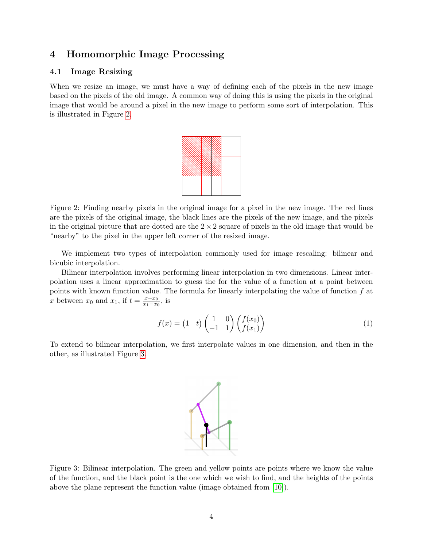## 4 Homomorphic Image Processing

### 4.1 Image Resizing

When we resize an image, we must have a way of defining each of the pixels in the new image based on the pixels of the old image. A common way of doing this is using the pixels in the original image that would be around a pixel in the new image to perform some sort of interpolation. This is illustrated in Figure [2.](#page-3-0)



<span id="page-3-0"></span>Figure 2: Finding nearby pixels in the original image for a pixel in the new image. The red lines are the pixels of the original image, the black lines are the pixels of the new image, and the pixels in the original picture that are dotted are the  $2 \times 2$  square of pixels in the old image that would be "nearby" to the pixel in the upper left corner of the resized image.

We implement two types of interpolation commonly used for image rescaling: bilinear and bicubic interpolation.

Bilinear interpolation involves performing linear interpolation in two dimensions. Linear interpolation uses a linear approximation to guess the for the value of a function at a point between points with known function value. The formula for linearly interpolating the value of function  $f$  at x between  $x_0$  and  $x_1$ , if  $t = \frac{x - x_0}{x_1 - x_0}$  $\frac{x-x_0}{x_1-x_0}$ , is

$$
f(x) = \begin{pmatrix} 1 & t \end{pmatrix} \begin{pmatrix} 1 & 0 \\ -1 & 1 \end{pmatrix} \begin{pmatrix} f(x_0) \\ f(x_1) \end{pmatrix} \tag{1}
$$

To extend to bilinear interpolation, we first interpolate values in one dimension, and then in the other, as illustrated Figure [3.](#page-3-1)



<span id="page-3-1"></span>Figure 3: Bilinear interpolation. The green and yellow points are points where we know the value of the function, and the black point is the one which we wish to find, and the heights of the points above the plane represent the function value (image obtained from [\[10\]](#page-11-9)).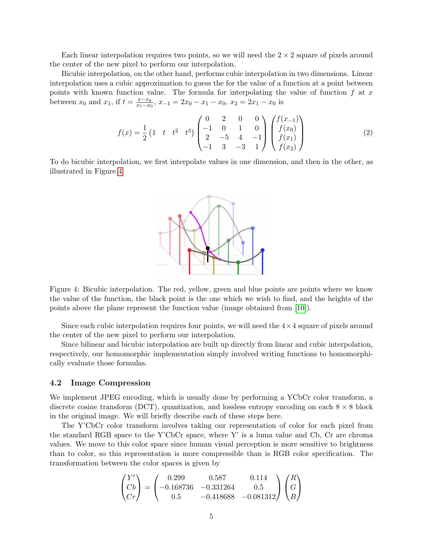Each linear interpolation requires two points, so we will need the  $2 \times 2$  square of pixels around the center of the new pixel to perform our interpolation.

Bicubic interpolation, on the other hand, performs cubic interpolation in two dimensions. Linear interpolation uses a cubic approximation to guess the for the value of a function at a point between points with known function value. The formula for interpolating the value of function  $f$  at  $x$ between  $x_0$  and  $x_1$ , if  $t = \frac{x - x_0}{x_1 - x_0}$  $\frac{x-x_0}{x_1-x_0}$ ,  $x_{-1} = 2x_0 - x_1 - x_0$ ,  $x_2 = 2x_1 - x_0$  is

$$
f(x) = \frac{1}{2} \begin{pmatrix} 1 & t & t^2 & t^3 \end{pmatrix} \begin{pmatrix} 0 & 2 & 0 & 0 \\ -1 & 0 & 1 & 0 \\ 2 & -5 & 4 & -1 \\ -1 & 3 & -3 & 1 \end{pmatrix} \begin{pmatrix} f(x_{-1}) \\ f(x_0) \\ f(x_1) \\ f(x_2) \end{pmatrix}
$$
(2)

To do bicubic interpolation, we first interpolate values in one dimension, and then in the other, as illustrated in Figure [4.](#page-4-0)



<span id="page-4-0"></span>Figure 4: Bicubic interpolation. The red, yellow, green and blue points are points where we know the value of the function, the black point is the one which we wish to find, and the heights of the points above the plane represent the function value (image obtained from [\[10\]](#page-11-9)).

Since each cubic interpolation requires four points, we will need the  $4 \times 4$  square of pixels around the center of the new pixel to perform our interpolation.

Since bilinear and bicubic interpolation are built up directly from linear and cubic interpolation, respectively, our homomorphic implementation simply involved writing functions to homomorphically evaluate those formulas.

#### 4.2 Image Compression

We implement JPEG encoding, which is usually done by performing a YCbCr color transform, a discrete cosine transform (DCT), quantization, and lossless entropy encoding on each  $8 \times 8$  block in the original image. We will briefly describe each of these steps here.

The Y'CbCr color transform involves taking our representation of color for each pixel from the standard RGB space to the Y'CbCr space, where Y' is a luma value and Cb, Cr are chroma values. We move to this color space since human visual perception is more sensitive to brightness than to color, so this representation is more compressible than is RGB color specification. The transformation between the color spaces is given by

$$
\begin{pmatrix} Y' \\ Cb \\ Cr \end{pmatrix} = \begin{pmatrix} 0.299 & 0.587 & 0.114 \\ -0.168736 & -0.331264 & 0.5 \\ 0.5 & -0.418688 & -0.081312 \end{pmatrix} \begin{pmatrix} R \\ G \\ B \end{pmatrix}
$$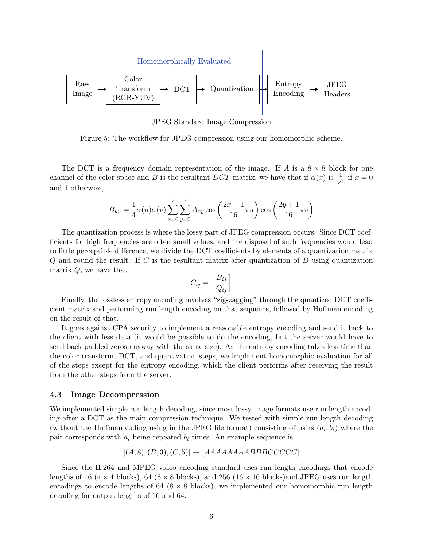

JPEG Standard Image Compression

Figure 5: The workflow for JPEG compression using our homomorphic scheme.

The DCT is a frequency domain representation of the image. If A is a  $8 \times 8$  block for one channel of the color space and B is the resultant DCT matrix, we have that if  $\alpha(x)$  is  $\frac{1}{\sqrt{x}}$  $\frac{1}{2}$  if  $x = 0$ and 1 otherwise,

$$
B_{uv} = \frac{1}{4}\alpha(u)\alpha(v)\sum_{x=0}^{7}\sum_{y=0}^{7}A_{xy}\cos\left(\frac{2x+1}{16}\pi u\right)\cos\left(\frac{2y+1}{16}\pi v\right)
$$

The quantization process is where the lossy part of JPEG compression occurs. Since DCT coefficients for high frequencies are often small values, and the disposal of such frequencies would lead to little perceptible difference, we divide the DCT coefficients by elements of a quantization matrix  $Q$  and round the result. If C is the resultant matrix after quantization of B using quantization matrix  $Q$ , we have that

$$
C_{ij} = \left\lfloor \frac{B_{ij}}{Q_{ij}} \right\rceil
$$

Finally, the lossless entropy encoding involves "zig-zagging" through the quantized DCT coefficient matrix and performing run length encoding on that sequence, followed by Huffman encoding on the result of that.

It goes against CPA security to implement a reasonable entropy encoding and send it back to the client with less data (it would be possible to do the encoding, but the server would have to send back padded zeros anyway with the same size). As the entropy encoding takes less time than the color transform, DCT, and quantization steps, we implement homomorphic evaluation for all of the steps except for the entropy encoding, which the client performs after receiving the result from the other steps from the server.

#### 4.3 Image Decompression

We implemented simple run length decoding, since most lossy image formats use run length encoding after a DCT as the main compression technique. We tested with simple run length decoding (without the Huffman coding using in the JPEG file format) consisting of pairs  $(a_i, b_i)$  where the pair corresponds with  $a_i$  being repeated  $b_i$  times. An example sequence is

$$
[(A,8),(B,3),(C,5)] \mapsto [AAAAAAAABBBCCCCC]
$$

Since the H.264 and MPEG video encoding standard uses run length encodings that encode lengths of 16 (4  $\times$  4 blocks), 64 (8  $\times$  8 blocks), and 256 (16  $\times$  16 blocks) and JPEG uses run length encodings to encode lengths of  $64$  ( $8 \times 8$  blocks), we implemented our homomorphic run length decoding for output lengths of 16 and 64.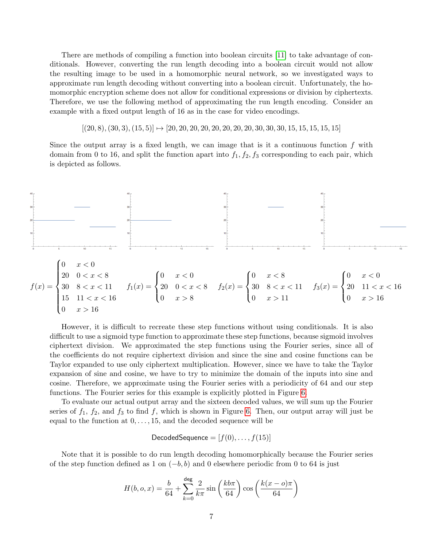There are methods of compiling a function into boolean circuits [\[11\]](#page-11-10) to take advantage of conditionals. However, converting the run length decoding into a boolean circuit would not allow the resulting image to be used in a homomorphic neural network, so we investigated ways to approximate run length decoding without converting into a boolean circuit. Unfortunately, the homomorphic encryption scheme does not allow for conditional expressions or division by ciphertexts. Therefore, we use the following method of approximating the run length encoding. Consider an example with a fixed output length of 16 as in the case for video encodings.

 $[(20, 8), (30, 3), (15, 5)] \rightarrow [20, 20, 20, 20, 20, 20, 20, 20, 30, 30, 30, 15, 15, 15, 15, 15]$ 

Since the output array is a fixed length, we can image that is it a continuous function  $f$  with domain from 0 to 16, and split the function apart into  $f_1, f_2, f_3$  corresponding to each pair, which is depicted as follows.



However, it is difficult to recreate these step functions without using conditionals. It is also difficult to use a sigmoid type function to approximate these step functions, because sigmoid involves ciphertext division. We approximated the step functions using the Fourier series, since all of the coefficients do not require ciphertext division and since the sine and cosine functions can be Taylor expanded to use only ciphertext multiplication. However, since we have to take the Taylor expansion of sine and cosine, we have to try to minimize the domain of the inputs into sine and cosine. Therefore, we approximate using the Fourier series with a periodicity of 64 and our step functions. The Fourier series for this example is explicitly plotted in Figure [6.](#page-7-0)

To evaluate our actual output array and the sixteen decoded values, we will sum up the Fourier series of  $f_1$ ,  $f_2$ , and  $f_3$  to find f, which is shown in Figure [6.](#page-7-0) Then, our output array will just be equal to the function at  $0, \ldots, 15$ , and the decoded sequence will be

DecodedSequence =  $[f(0),..., f(15)]$ 

Note that it is possible to do run length decoding homomorphically because the Fourier series of the step function defined as 1 on  $(-b, b)$  and 0 elsewhere periodic from 0 to 64 is just

$$
H(b, o, x) = \frac{b}{64} + \sum_{k=0}^{\text{deg}} \frac{2}{k\pi} \sin\left(\frac{kb\pi}{64}\right) \cos\left(\frac{k(x - o)\pi}{64}\right)
$$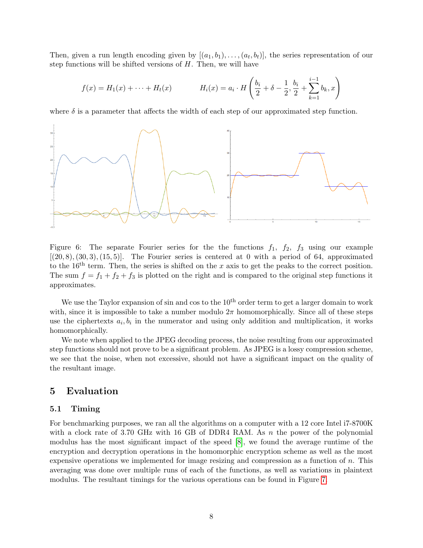Then, given a run length encoding given by  $[(a_1, b_1), \ldots, (a_t, b_t)]$ , the series representation of our step functions will be shifted versions of  $H$ . Then, we will have

$$
f(x) = H_1(x) + \dots + H_t(x) \qquad H_i(x) = a_i \cdot H\left(\frac{b_i}{2} + \delta - \frac{1}{2}, \frac{b_i}{2} + \sum_{k=1}^{i-1} b_k, x\right)
$$

where  $\delta$  is a parameter that affects the width of each step of our approximated step function.



<span id="page-7-0"></span>Figure 6: The separate Fourier series for the the functions  $f_1$ ,  $f_2$ ,  $f_3$  using our example  $[(20, 8), (30, 3), (15, 5)].$  The Fourier series is centered at 0 with a period of 64, approximated to the 16<sup>th</sup> term. Then, the series is shifted on the x axis to get the peaks to the correct position. The sum  $f = f_1 + f_2 + f_3$  is plotted on the right and is compared to the original step functions it approximates.

We use the Taylor expansion of sin and cos to the  $10<sup>th</sup>$  order term to get a larger domain to work with, since it is impossible to take a number modulo  $2\pi$  homomorphically. Since all of these steps use the ciphertexts  $a_i, b_i$  in the numerator and using only addition and multiplication, it works homomorphically.

We note when applied to the JPEG decoding process, the noise resulting from our approximated step functions should not prove to be a significant problem. As JPEG is a lossy compression scheme, we see that the noise, when not excessive, should not have a significant impact on the quality of the resultant image.

## 5 Evaluation

#### 5.1 Timing

For benchmarking purposes, we ran all the algorithms on a computer with a 12 core Intel i7-8700K with a clock rate of 3.70 GHz with 16 GB of DDR4 RAM. As  $n$  the power of the polynomial modulus has the most significant impact of the speed [\[8\]](#page-11-7), we found the average runtime of the encryption and decryption operations in the homomorphic encryption scheme as well as the most expensive operations we implemented for image resizing and compression as a function of  $n$ . This averaging was done over multiple runs of each of the functions, as well as variations in plaintext modulus. The resultant timings for the various operations can be found in Figure [7.](#page-8-0)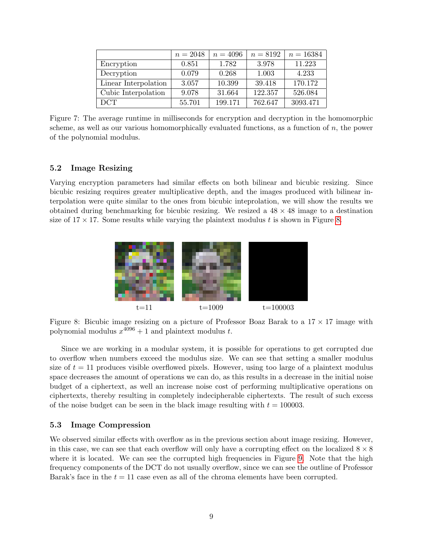|                      | $n = 2048$ | $n = 4096$ | $n = 8192$ | $n = 16384$ |
|----------------------|------------|------------|------------|-------------|
| Encryption           | 0.851      | 1.782      | 3.978      | 11.223      |
| Decryption           | 0.079      | 0.268      | 1.003      | 4.233       |
| Linear Interpolation | 3.057      | 10.399     | 39.418     | 170.172     |
| Cubic Interpolation  | 9.078      | 31.664     | 122.357    | 526.084     |
| <b>DCT</b>           | 55.701     | 199.171    | 762.647    | 3093.471    |

<span id="page-8-0"></span>Figure 7: The average runtime in milliseconds for encryption and decryption in the homomorphic scheme, as well as our various homomorphically evaluated functions, as a function of  $n$ , the power of the polynomial modulus.

### 5.2 Image Resizing

Varying encryption parameters had similar effects on both bilinear and bicubic resizing. Since bicubic resizing requires greater multiplicative depth, and the images produced with bilinear interpolation were quite similar to the ones from bicubic inteprolation, we will show the results we obtained during benchmarking for bicubic resizing. We resized a  $48 \times 48$  image to a destination size of  $17 \times 17$ . Some results while varying the plaintext modulus t is shown in Figure [8.](#page-8-1)



<span id="page-8-1"></span>Figure 8: Bicubic image resizing on a picture of Professor Boaz Barak to a  $17 \times 17$  image with polynomial modulus  $x^{4096} + 1$  and plaintext modulus t.

Since we are working in a modular system, it is possible for operations to get corrupted due to overflow when numbers exceed the modulus size. We can see that setting a smaller modulus size of  $t = 11$  produces visible overflowed pixels. However, using too large of a plaintext modulus space decreases the amount of operations we can do, as this results in a decrease in the initial noise budget of a ciphertext, as well an increase noise cost of performing multiplicative operations on ciphertexts, thereby resulting in completely indecipherable ciphertexts. The result of such excess of the noise budget can be seen in the black image resulting with  $t = 100003$ .

#### 5.3 Image Compression

We observed similar effects with overflow as in the previous section about image resizing. However, in this case, we can see that each overflow will only have a corrupting effect on the localized  $8 \times 8$ where it is located. We can see the corrupted high frequencies in Figure [9.](#page-9-0) Note that the high frequency components of the DCT do not usually overflow, since we can see the outline of Professor Barak's face in the  $t = 11$  case even as all of the chroma elements have been corrupted.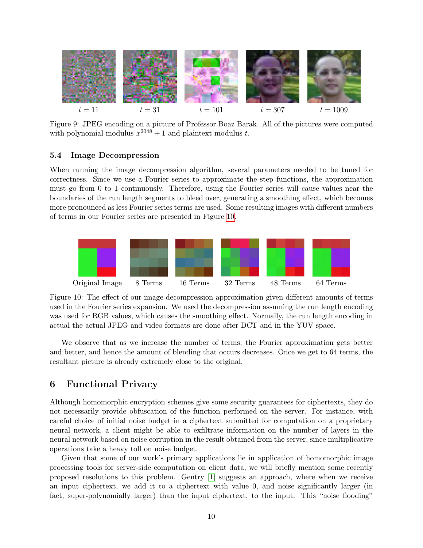

<span id="page-9-0"></span>Figure 9: JPEG encoding on a picture of Professor Boaz Barak. All of the pictures were computed with polynomial modulus  $x^{2048} + 1$  and plaintext modulus t.

#### 5.4 Image Decompression

When running the image decompression algorithm, several parameters needed to be tuned for correctness. Since we use a Fourier series to approximate the step functions, the approximation must go from 0 to 1 continuously. Therefore, using the Fourier series will cause values near the boundaries of the run length segments to bleed over, generating a smoothing effect, which becomes more pronounced as less Fourier series terms are used. Some resulting images with different numbers of terms in our Fourier series are presented in Figure [10.](#page-9-1)



<span id="page-9-1"></span>Figure 10: The effect of our image decompression approximation given different amounts of terms used in the Fourier series expansion. We used the decompression assuming the run length encoding was used for RGB values, which causes the smoothing effect. Normally, the run length encoding in actual the actual JPEG and video formats are done after DCT and in the YUV space.

We observe that as we increase the number of terms, the Fourier approximation gets better and better, and hence the amount of blending that occurs decreases. Once we get to 64 terms, the resultant picture is already extremely close to the original.

## 6 Functional Privacy

Although homomorphic encryption schemes give some security guarantees for ciphertexts, they do not necessarily provide obfuscation of the function performed on the server. For instance, with careful choice of initial noise budget in a ciphertext submitted for computation on a proprietary neural network, a client might be able to exfiltrate information on the number of layers in the neural network based on noise corruption in the result obtained from the server, since multiplicative operations take a heavy toll on noise budget.

Given that some of our work's primary applications lie in application of homomorphic image processing tools for server-side computation on client data, we will briefly mention some recently proposed resolutions to this problem. Gentry [\[1\]](#page-11-0) suggests an approach, where when we receive an input ciphertext, we add it to a ciphertext with value 0, and noise significantly larger (in fact, super-polynomially larger) than the input ciphertext, to the input. This "noise flooding"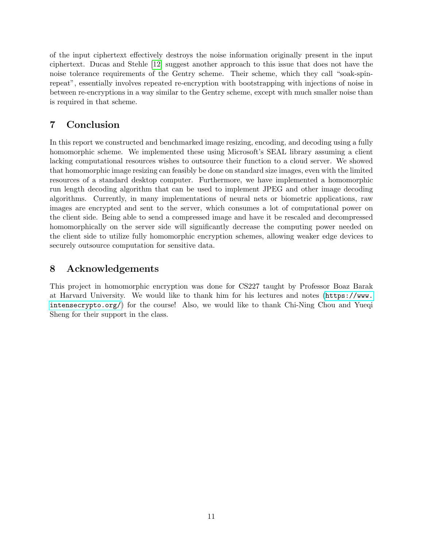of the input ciphertext effectively destroys the noise information originally present in the input ciphertext. Ducas and Stehle [\[12\]](#page-11-11) suggest another approach to this issue that does not have the noise tolerance requirements of the Gentry scheme. Their scheme, which they call "soak-spinrepeat", essentially involves repeated re-encryption with bootstrapping with injections of noise in between re-encryptions in a way similar to the Gentry scheme, except with much smaller noise than is required in that scheme.

# 7 Conclusion

In this report we constructed and benchmarked image resizing, encoding, and decoding using a fully homomorphic scheme. We implemented these using Microsoft's SEAL library assuming a client lacking computational resources wishes to outsource their function to a cloud server. We showed that homomorphic image resizing can feasibly be done on standard size images, even with the limited resources of a standard desktop computer. Furthermore, we have implemented a homomorphic run length decoding algorithm that can be used to implement JPEG and other image decoding algorithms. Currently, in many implementations of neural nets or biometric applications, raw images are encrypted and sent to the server, which consumes a lot of computational power on the client side. Being able to send a compressed image and have it be rescaled and decompressed homomorphically on the server side will significantly decrease the computing power needed on the client side to utilize fully homomorphic encryption schemes, allowing weaker edge devices to securely outsource computation for sensitive data.

# 8 Acknowledgements

This project in homomorphic encryption was done for CS227 taught by Professor Boaz Barak at Harvard University. We would like to thank him for his lectures and notes ([https://www.](https://www.intensecrypto.org/) [intensecrypto.org/](https://www.intensecrypto.org/)) for the course! Also, we would like to thank Chi-Ning Chou and Yueqi Sheng for their support in the class.